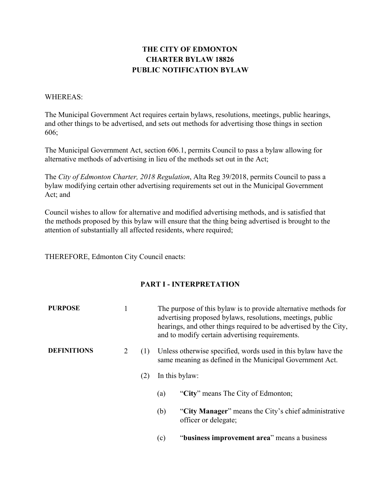# **THE CITY OF EDMONTON CHARTER BYLAW 18826 PUBLIC NOTIFICATION BYLAW**

### WHEREAS:

The Municipal Government Act requires certain bylaws, resolutions, meetings, public hearings, and other things to be advertised, and sets out methods for advertising those things in section 606;

The Municipal Government Act, section 606.1, permits Council to pass a bylaw allowing for alternative methods of advertising in lieu of the methods set out in the Act;

The *City of Edmonton Charter, 2018 Regulation*, Alta Reg 39/2018, permits Council to pass a bylaw modifying certain other advertising requirements set out in the Municipal Government Act; and

Council wishes to allow for alternative and modified advertising methods, and is satisfied that the methods proposed by this bylaw will ensure that the thing being advertised is brought to the attention of substantially all affected residents, where required;

THEREFORE, Edmonton City Council enacts:

# **PART I - INTERPRETATION**

| <b>PURPOSE</b>     |   |     | The purpose of this bylaw is to provide alternative methods for<br>advertising proposed bylaws, resolutions, meetings, public<br>hearings, and other things required to be advertised by the City,<br>and to modify certain advertising requirements. |                                                                              |
|--------------------|---|-----|-------------------------------------------------------------------------------------------------------------------------------------------------------------------------------------------------------------------------------------------------------|------------------------------------------------------------------------------|
| <b>DEFINITIONS</b> | 2 | (1) | Unless otherwise specified, words used in this bylaw have the<br>same meaning as defined in the Municipal Government Act.<br>In this bylaw:                                                                                                           |                                                                              |
|                    |   | (2) |                                                                                                                                                                                                                                                       |                                                                              |
|                    |   |     | (a)                                                                                                                                                                                                                                                   | "City" means The City of Edmonton;                                           |
|                    |   |     | (b)                                                                                                                                                                                                                                                   | "City Manager" means the City's chief administrative<br>officer or delegate; |
|                    |   |     | (c)                                                                                                                                                                                                                                                   | "business improvement area" means a business                                 |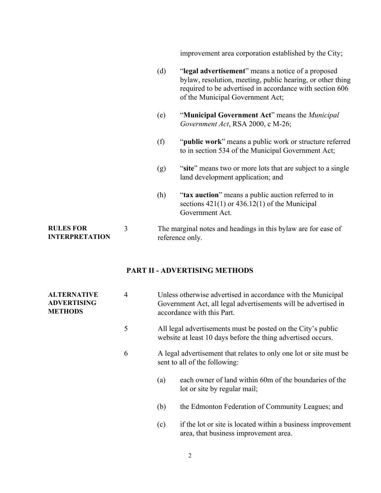improvement area corporation established by the City;

- (d) "**legal advertisement**" means a notice of a proposed bylaw, resolution, meeting, public hearing, or other thing required to be advertised in accordance with section 606 of the Municipal Government Act;
- (e) "**Municipal Government Act**" means the *Municipal Government Act*, RSA 2000, c M-26;
- (f) "**public work**" means a public work or structure referred to in section 534 of the Municipal Government Act;
- (g) "**site**" means two or more lots that are subject to a single land development application; and
- (h) "**tax auction**" means a public auction referred to in sections  $421(1)$  or  $436.12(1)$  of the Municipal Government Act.

#### **RULES FOR INTERPRETATION** 3 The marginal notes and headings in this bylaw are for ease of reference only.

### **PART II - ADVERTISING METHODS**

| <b>ALTERNATIVE</b><br><b>ADVERTISING</b><br><b>METHODS</b> | $\overline{4}$ | Unless otherwise advertised in accordance with the Municipal<br>Government Act, all legal advertisements will be advertised in<br>accordance with this Part.<br>All legal advertisements must be posted on the City's public<br>website at least 10 days before the thing advertised occurs.<br>A legal advertisement that relates to only one lot or site must be<br>sent to all of the following: |  |  |
|------------------------------------------------------------|----------------|-----------------------------------------------------------------------------------------------------------------------------------------------------------------------------------------------------------------------------------------------------------------------------------------------------------------------------------------------------------------------------------------------------|--|--|
|                                                            | 5              |                                                                                                                                                                                                                                                                                                                                                                                                     |  |  |
|                                                            | 6              |                                                                                                                                                                                                                                                                                                                                                                                                     |  |  |
|                                                            |                | each owner of land within 60m of the boundaries of the<br>(a)<br>lot or site by regular mail;                                                                                                                                                                                                                                                                                                       |  |  |
|                                                            |                | (b)<br>the Edmonton Federation of Community Leagues; and                                                                                                                                                                                                                                                                                                                                            |  |  |
|                                                            |                | if the lot or site is located within a business improvement<br>(c)                                                                                                                                                                                                                                                                                                                                  |  |  |

area, that business improvement area.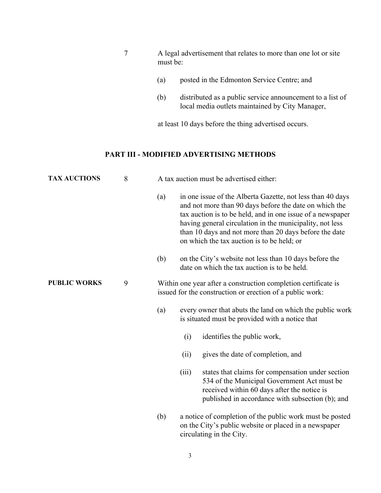- 7 A legal advertisement that relates to more than one lot or site must be:
	- (a) posted in the Edmonton Service Centre; and
	- (b) distributed as a public service announcement to a list of local media outlets maintained by City Manager,

at least 10 days before the thing advertised occurs.

## **PART III - MODIFIED ADVERTISING METHODS**

| <b>TAX AUCTIONS</b> | 8 | A tax auction must be advertised either: |                                                                                                                                                                                                                                                                                                                                                        |  |  |  |  |
|---------------------|---|------------------------------------------|--------------------------------------------------------------------------------------------------------------------------------------------------------------------------------------------------------------------------------------------------------------------------------------------------------------------------------------------------------|--|--|--|--|
|                     |   | (a)                                      | in one issue of the Alberta Gazette, not less than 40 days<br>and not more than 90 days before the date on which the<br>tax auction is to be held, and in one issue of a newspaper<br>having general circulation in the municipality, not less<br>than 10 days and not more than 20 days before the date<br>on which the tax auction is to be held; or |  |  |  |  |
|                     |   | (b)                                      | on the City's website not less than 10 days before the<br>date on which the tax auction is to be held.                                                                                                                                                                                                                                                 |  |  |  |  |
| <b>PUBLIC WORKS</b> | 9 |                                          | Within one year after a construction completion certificate is<br>issued for the construction or erection of a public work:                                                                                                                                                                                                                            |  |  |  |  |
|                     |   | (a)                                      | every owner that abuts the land on which the public work<br>is situated must be provided with a notice that                                                                                                                                                                                                                                            |  |  |  |  |
|                     |   |                                          | identifies the public work,<br>(i)                                                                                                                                                                                                                                                                                                                     |  |  |  |  |
|                     |   |                                          | gives the date of completion, and<br>(ii)                                                                                                                                                                                                                                                                                                              |  |  |  |  |
|                     |   |                                          | states that claims for compensation under section<br>(iii)<br>534 of the Municipal Government Act must be<br>received within 60 days after the notice is<br>published in accordance with subsection (b); and                                                                                                                                           |  |  |  |  |
|                     |   | (b)                                      | a notice of completion of the public work must be posted<br>on the City's public website or placed in a newspaper<br>circulating in the City.                                                                                                                                                                                                          |  |  |  |  |